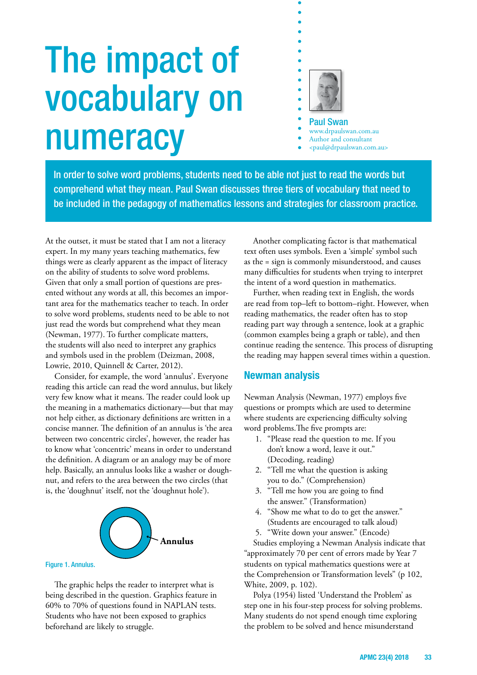# The impact of vocabulary on numeracy



Paul Swan

www.drpaulswan.com.au

- Author and consultant
- <paul@drpaulswan.com.au>

In order to solve word problems, students need to be able not just to read the words but comprehend what they mean. Paul Swan discusses three tiers of vocabulary that need to be included in the pedagogy of mathematics lessons and strategies for classroom practice.

At the outset, it must be stated that I am not a literacy expert. In my many years teaching mathematics, few things were as clearly apparent as the impact of literacy on the ability of students to solve word problems. Given that only a small portion of questions are presented without any words at all, this becomes an important area for the mathematics teacher to teach. In order to solve word problems, students need to be able to not just read the words but comprehend what they mean (Newman, 1977). To further complicate matters, the students will also need to interpret any graphics and symbols used in the problem (Deizman, 2008, Lowrie, 2010, Quinnell & Carter, 2012).

Consider, for example, the word 'annulus'. Everyone reading this article can read the word annulus, but likely very few know what it means. The reader could look up the meaning in a mathematics dictionary—but that may not help either, as dictionary definitions are written in a concise manner. The definition of an annulus is 'the area between two concentric circles', however, the reader has to know what 'concentric' means in order to understand the definition. A diagram or an analogy may be of more help. Basically, an annulus looks like a washer or doughnut, and refers to the area between the two circles (that is, the 'doughnut' itself, not the 'doughnut hole').



The graphic helps the reader to interpret what is being described in the question. Graphics feature in 60% to 70% of questions found in NAPLAN tests. Students who have not been exposed to graphics beforehand are likely to struggle.

Another complicating factor is that mathematical text often uses symbols. Even a 'simple' symbol such as the = sign is commonly misunderstood, and causes many difficulties for students when trying to interpret the intent of a word question in mathematics.

Further, when reading text in English, the words are read from top–left to bottom–right. However, when reading mathematics, the reader often has to stop reading part way through a sentence, look at a graphic (common examples being a graph or table), and then continue reading the sentence. This process of disrupting the reading may happen several times within a question.

## **Newman analysis**

Newman Analysis (Newman, 1977) employs five questions or prompts which are used to determine where students are experiencing difficulty solving word problems.The five prompts are:

- 1. "Please read the question to me. If you don't know a word, leave it out." (Decoding, reading)
- 2. "Tell me what the question is asking you to do." (Comprehension)
- 3. "Tell me how you are going to find the answer." (Transformation)
- 4. "Show me what to do to get the answer." (Students are encouraged to talk aloud)
- 5. "Write down your answer." (Encode)

Studies employing a Newman Analysis indicate that "approximately 70 per cent of errors made by Year 7 students on typical mathematics questions were at the Comprehension or Transformation levels" (p 102, White, 2009, p. 102).

Polya (1954) listed 'Understand the Problem' as step one in his four-step process for solving problems. Many students do not spend enough time exploring the problem to be solved and hence misunderstand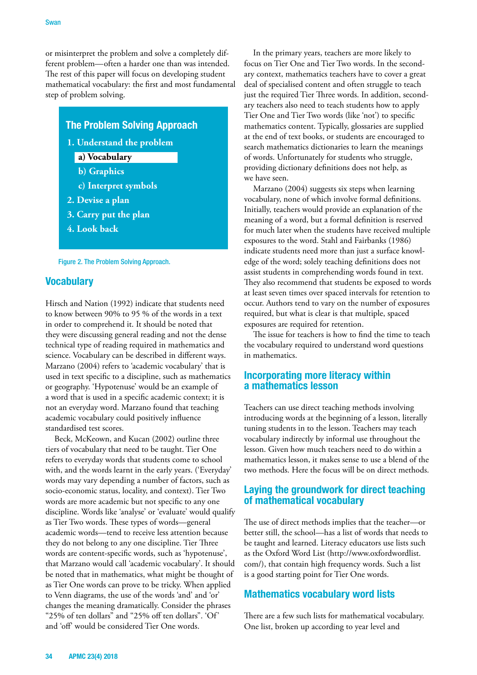or misinterpret the problem and solve a completely different problem—often a harder one than was intended. The rest of this paper will focus on developing student mathematical vocabulary: the first and most fundamental step of problem solving.

#### **The Problem Solving Approach**

**1. Understand the problem**

#### **a) Vocabulary**

- **b) Graphics**
- **c) Interpret symbols**
- **2. Devise a plan**
- **3. Carry put the plan**
- **4. Look back**



## **Vocabulary**

Hirsch and Nation (1992) indicate that students need to know between 90% to 95 % of the words in a text in order to comprehend it. It should be noted that they were discussing general reading and not the dense technical type of reading required in mathematics and science. Vocabulary can be described in different ways. Marzano (2004) refers to 'academic vocabulary' that is used in text specific to a discipline, such as mathematics or geography. 'Hypotenuse' would be an example of a word that is used in a specific academic context; it is not an everyday word. Marzano found that teaching academic vocabulary could positively influence standardised test scores.

Beck, McKeown, and Kucan (2002) outline three tiers of vocabulary that need to be taught. Tier One refers to everyday words that students come to school with, and the words learnt in the early years. ('Everyday' words may vary depending a number of factors, such as socio-economic status, locality, and context). Tier Two words are more academic but not specific to any one discipline. Words like 'analyse' or 'evaluate' would qualify as Tier Two words. These types of words—general academic words—tend to receive less attention because they do not belong to any one discipline. Tier Three words are content-specific words, such as 'hypotenuse', that Marzano would call 'academic vocabulary'. It should be noted that in mathematics, what might be thought of as Tier One words can prove to be tricky. When applied to Venn diagrams, the use of the words 'and' and 'or' changes the meaning dramatically. Consider the phrases "25% of ten dollars" and "25% off ten dollars". 'Of' and 'off' would be considered Tier One words.

In the primary years, teachers are more likely to focus on Tier One and Tier Two words. In the secondary context, mathematics teachers have to cover a great deal of specialised content and often struggle to teach just the required Tier Three words. In addition, secondary teachers also need to teach students how to apply Tier One and Tier Two words (like 'not') to specific mathematics content. Typically, glossaries are supplied at the end of text books, or students are encouraged to search mathematics dictionaries to learn the meanings of words. Unfortunately for students who struggle, providing dictionary definitions does not help, as we have seen.

Marzano (2004) suggests six steps when learning vocabulary, none of which involve formal definitions. Initially, teachers would provide an explanation of the meaning of a word, but a formal definition is reserved for much later when the students have received multiple exposures to the word. Stahl and Fairbanks (1986) indicate students need more than just a surface knowledge of the word; solely teaching definitions does not assist students in comprehending words found in text. They also recommend that students be exposed to words at least seven times over spaced intervals for retention to occur. Authors tend to vary on the number of exposures required, but what is clear is that multiple, spaced exposures are required for retention.

The issue for teachers is how to find the time to teach the vocabulary required to understand word questions in mathematics.

#### **Incorporating more literacy within a mathematics lesson**

Teachers can use direct teaching methods involving introducing words at the beginning of a lesson, literally tuning students in to the lesson. Teachers may teach vocabulary indirectly by informal use throughout the lesson. Given how much teachers need to do within a mathematics lesson, it makes sense to use a blend of the two methods. Here the focus will be on direct methods.

#### **Laying the groundwork for direct teaching of mathematical vocabulary**

The use of direct methods implies that the teacher—or better still, the school—has a list of words that needs to be taught and learned. Literacy educators use lists such as the Oxford Word List (http://www.oxfordwordlist. com/), that contain high frequency words. Such a list is a good starting point for Tier One words.

## **Mathematics vocabulary word lists**

There are a few such lists for mathematical vocabulary. One list, broken up according to year level and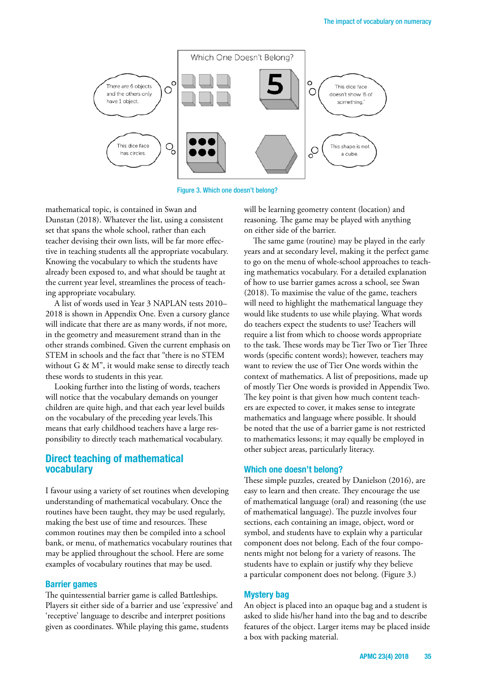

Figure 3. Which one doesn't belong?

mathematical topic, is contained in Swan and Dunstan (2018). Whatever the list, using a consistent set that spans the whole school, rather than each teacher devising their own lists, will be far more effective in teaching students all the appropriate vocabulary. Knowing the vocabulary to which the students have already been exposed to, and what should be taught at the current year level, streamlines the process of teaching appropriate vocabulary.

A list of words used in Year 3 NAPLAN tests 2010– 2018 is shown in Appendix One. Even a cursory glance will indicate that there are as many words, if not more, in the geometry and measurement strand than in the other strands combined. Given the current emphasis on STEM in schools and the fact that "there is no STEM without G & M", it would make sense to directly teach these words to students in this year.

Looking further into the listing of words, teachers will notice that the vocabulary demands on younger children are quite high, and that each year level builds on the vocabulary of the preceding year levels.This means that early childhood teachers have a large responsibility to directly teach mathematical vocabulary.

#### **Direct teaching of mathematical vocabulary**

I favour using a variety of set routines when developing understanding of mathematical vocabulary. Once the routines have been taught, they may be used regularly, making the best use of time and resources. These common routines may then be compiled into a school bank, or menu, of mathematics vocabulary routines that may be applied throughout the school. Here are some examples of vocabulary routines that may be used.

#### **Barrier games**

The quintessential barrier game is called Battleships. Players sit either side of a barrier and use 'expressive' and 'receptive' language to describe and interpret positions given as coordinates. While playing this game, students

will be learning geometry content (location) and reasoning. The game may be played with anything on either side of the barrier.

The same game (routine) may be played in the early years and at secondary level, making it the perfect game to go on the menu of whole-school approaches to teaching mathematics vocabulary. For a detailed explanation of how to use barrier games across a school, see Swan (2018). To maximise the value of the game, teachers will need to highlight the mathematical language they would like students to use while playing. What words do teachers expect the students to use? Teachers will require a list from which to choose words appropriate to the task. These words may be Tier Two or Tier Three words (specific content words); however, teachers may want to review the use of Tier One words within the context of mathematics. A list of prepositions, made up of mostly Tier One words is provided in Appendix Two. The key point is that given how much content teachers are expected to cover, it makes sense to integrate mathematics and language where possible. It should be noted that the use of a barrier game is not restricted to mathematics lessons; it may equally be employed in other subject areas, particularly literacy.

#### **Which one doesn't belong?**

These simple puzzles, created by Danielson (2016), are easy to learn and then create. They encourage the use of mathematical language (oral) and reasoning (the use of mathematical language). The puzzle involves four sections, each containing an image, object, word or symbol, and students have to explain why a particular component does not belong. Each of the four components might not belong for a variety of reasons. The students have to explain or justify why they believe a particular component does not belong. (Figure 3.)

#### **Mystery bag**

An object is placed into an opaque bag and a student is asked to slide his/her hand into the bag and to describe features of the object. Larger items may be placed inside a box with packing material.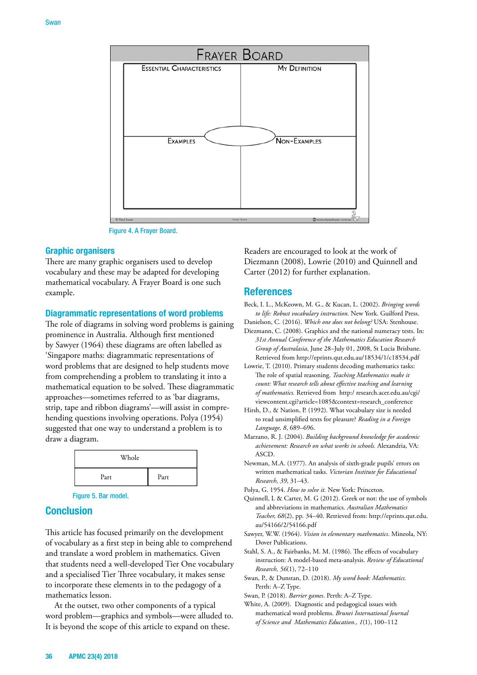

Figure 4. A Frayer Board.

#### **Graphic organisers**

There are many graphic organisers used to develop vocabulary and these may be adapted for developing mathematical vocabulary. A Frayer Board is one such example.

#### **Diagrammatic representations of word problems**

The role of diagrams in solving word problems is gaining prominence in Australia. Although first mentioned by Sawyer (1964) these diagrams are often labelled as 'Singapore maths: diagrammatic representations of word problems that are designed to help students move from comprehending a problem to translating it into a mathematical equation to be solved. These diagrammatic approaches—sometimes referred to as 'bar diagrams, strip, tape and ribbon diagrams'—will assist in comprehending questions involving operations. Polya (1954) suggested that one way to understand a problem is to draw a diagram.

| Whole |      |
|-------|------|
| Part  | Part |

Figure 5. Bar model.

#### **Conclusion**

This article has focused primarily on the development of vocabulary as a first step in being able to comprehend and translate a word problem in mathematics. Given that students need a well-developed Tier One vocabulary and a specialised Tier Three vocabulary, it makes sense to incorporate these elements in to the pedagogy of a mathematics lesson.

At the outset, two other components of a typical word problem—graphics and symbols—were alluded to. It is beyond the scope of this article to expand on these.

Readers are encouraged to look at the work of Diezmann (2008), Lowrie (2010) and Quinnell and Carter (2012) for further explanation.

#### **References**

- Beck, I. L., McKeown, M. G., & Kucan, L. (2002). *Bringing words to life: Robust vocabulary instruction.* New York. Guilford Press.
- Danielson, C. (2016). *Which one does not belong?* USA: Stenhouse. Diezmann, C. (2008). Graphics and the national numeracy tests. In: *31st Annual Conference of the Mathematics Education Research Group of Australasia*, June 28–July 01, 2008, St Lucia Brisbane. Retrieved from http://eprints.qut.edu.au/18534/1/c18534.pdf
- Lowrie, T. (2010). Primary students decoding mathematics tasks: The role of spatial reasoning. *Teaching Mathematics make it count: What research tells about effective teaching and learning of mathematics.* Retrieved from http:/ research.acer.edu.au/cgi/ viewcontent.cgi?article=1085&context=research\_conference
- Hirsh, D., & Nation, P. (1992). What vocabulary size is needed to read unsimplified texts for pleasure? *Reading in a Foreign Language, 8*, 689–696.
- Marzano, R. J. (2004). *Building background knowledge for academic achievement: Research on what works in schools.* Alexandria, VA: ASCD.
- Newman, M.A. (1977). An analysis of sixth-grade pupils' errors on written mathematical tasks. *Victorian Institute for Educational Research, 39*, 31–43.

Polya, G. 1954. *How to solve it.* New York: Princeton.

- Quinnell, L & Carter, M. G (2012). Greek or not: the use of symbols and abbreviations in mathematics. *Australian Mathematics Teacher, 68*(2), pp. 34–40. Retrieved from: http://eprints.qut.edu. au/54166/2/54166.pdf
- Sawyer, W.W. (1964). *Vision in elementary mathematics*. Mineola, NY: Dover Publications.
- Stahl, S. A., & Fairbanks, M. M. (1986). The effects of vocabulary instruction: A model-based meta-analysis. *Review of Educational Research, 56*(1), 72–110
- Swan, P., & Dunstan, D. (2018). *My word book: Mathematics.* Perth: A–Z Type.

Swan, P. (2018). *Barrier games*. Perth: A–Z Type.

White, A. (2009). Diagnostic and pedagogical issues with mathematical word problems. *Brunei International Journal of Science and Mathematics Education., 1*(1), 100–112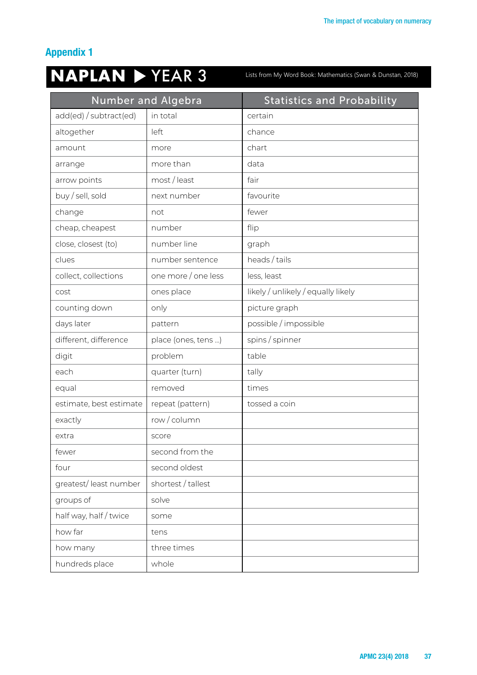# **Appendix 1**

# **NAPLAN**  $\triangleright$  YEAR 3

Lists from My Word Book: Mathematics (Swan & Dunstan, 2018)

| <b>Number and Algebra</b> |                     | <b>Statistics and Probability</b>  |  |
|---------------------------|---------------------|------------------------------------|--|
| add(ed) / subtract(ed)    | in total            | certain                            |  |
| altogether                | left                | chance                             |  |
| amount                    | more                | chart                              |  |
| arrange                   | more than           | data                               |  |
| arrow points              | most / least        | fair                               |  |
| buy / sell, sold          | next number         | favourite                          |  |
| change                    | not                 | fewer                              |  |
| cheap, cheapest           | number              | flip                               |  |
| close, closest (to)       | number line         | graph                              |  |
| clues                     | number sentence     | heads / tails                      |  |
| collect, collections      | one more / one less | less, least                        |  |
| cost                      | ones place          | likely / unlikely / equally likely |  |
| counting down             | only                | picture graph                      |  |
| days later                | pattern             | possible / impossible              |  |
| different, difference     | place (ones, tens ) | spins / spinner                    |  |
| digit                     | problem             | table                              |  |
| each                      | quarter (turn)      | tally                              |  |
| equal                     | removed             | times                              |  |
| estimate, best estimate   | repeat (pattern)    | tossed a coin                      |  |
| exactly                   | row/column          |                                    |  |
| extra                     | score               |                                    |  |
| fewer                     | second from the     |                                    |  |
| four                      | second oldest       |                                    |  |
| greatest/least number     | shortest / tallest  |                                    |  |
| groups of                 | solve               |                                    |  |
| half way, half / twice    | some                |                                    |  |
| how far                   | tens                |                                    |  |
| how many                  | three times         |                                    |  |
| hundreds place            | whole               |                                    |  |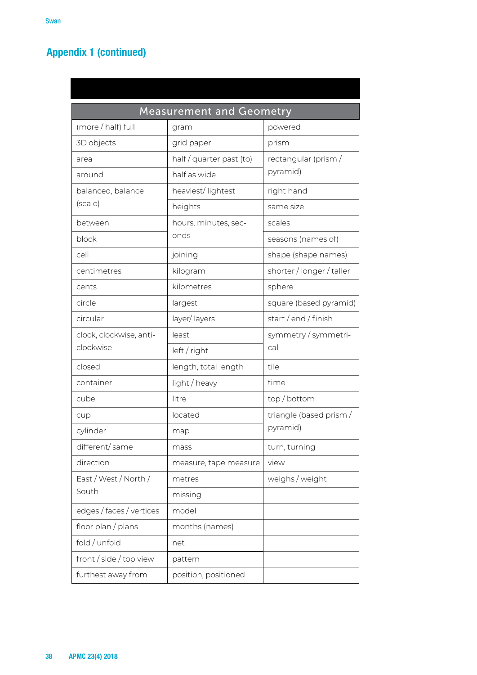# **Appendix 1 (continued)**

| <b>Measurement and Geometry</b>      |                        |                           |  |  |  |
|--------------------------------------|------------------------|---------------------------|--|--|--|
| (more / half) full                   | gram                   | powered                   |  |  |  |
| 3D objects                           | grid paper             | prism                     |  |  |  |
| area                                 | half/quarter past (to) | rectangular (prism/       |  |  |  |
| around                               | half as wide           | pyramid)                  |  |  |  |
| balanced, balance                    | heaviest/lightest      | right hand                |  |  |  |
| (scale)                              | heights                | same size                 |  |  |  |
| between                              | hours, minutes, sec-   | scales                    |  |  |  |
| block                                | onds                   | seasons (names of)        |  |  |  |
| cell                                 | joining                | shape (shape names)       |  |  |  |
| centimetres                          | kilogram               | shorter / longer / taller |  |  |  |
| cents                                | kilometres             | sphere                    |  |  |  |
| circle                               | largest                | square (based pyramid)    |  |  |  |
| circular                             | layer/layers           | start/end/finish          |  |  |  |
| clock, clockwise, anti-<br>clockwise | least                  | symmetry / symmetri-      |  |  |  |
|                                      | left / right           | cal                       |  |  |  |
| closed                               | length, total length   | tile                      |  |  |  |
| container                            | light / heavy          | time                      |  |  |  |
| cube                                 | litre                  | top/bottom                |  |  |  |
| cup                                  | located                | triangle (based prism/    |  |  |  |
| cylinder                             | map                    | pyramid)                  |  |  |  |
| different/same                       | mass                   | turn, turning             |  |  |  |
| direction                            | measure, tape measure  | view                      |  |  |  |
| East / West / North /                | metres                 | weighs / weight           |  |  |  |
| South                                | missing                |                           |  |  |  |
| edges / faces / vertices             | model                  |                           |  |  |  |
| floor plan / plans                   | months (names)         |                           |  |  |  |
| fold / unfold                        | net                    |                           |  |  |  |
| front / side / top view              | pattern                |                           |  |  |  |
| furthest away from                   | position, positioned   |                           |  |  |  |